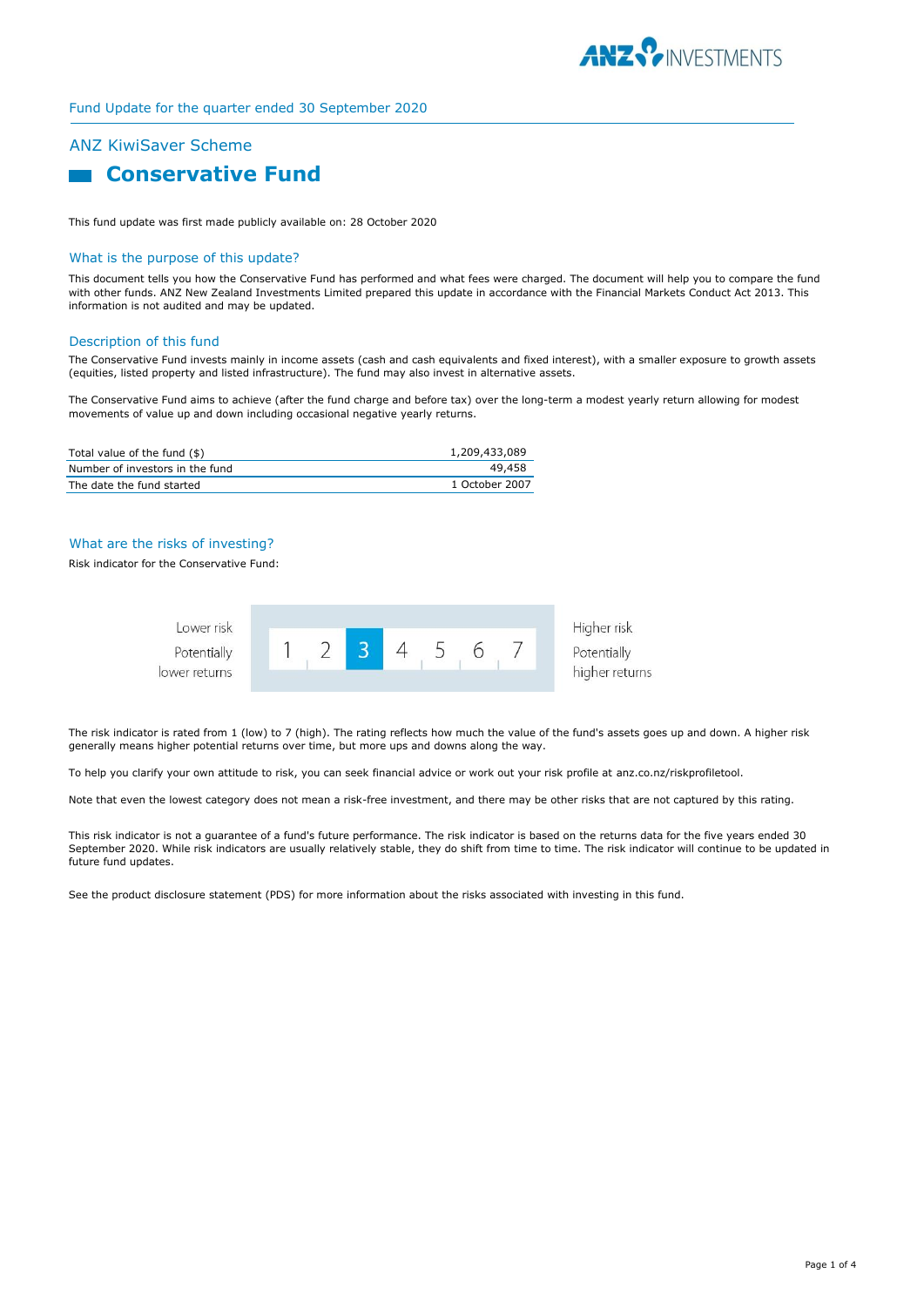

### Fund Update for the quarter ended 30 September 2020

# ANZ KiwiSaver Scheme

# **Conservative Fund**

This fund update was first made publicly available on: 28 October 2020

#### What is the purpose of this update?

This document tells you how the Conservative Fund has performed and what fees were charged. The document will help you to compare the fund with other funds. ANZ New Zealand Investments Limited prepared this update in accordance with the Financial Markets Conduct Act 2013. This information is not audited and may be updated.

#### Description of this fund

The Conservative Fund invests mainly in income assets (cash and cash equivalents and fixed interest), with a smaller exposure to growth assets (equities, listed property and listed infrastructure). The fund may also invest in alternative assets.

The Conservative Fund aims to achieve (after the fund charge and before tax) over the long-term a modest yearly return allowing for modest movements of value up and down including occasional negative yearly returns.

| Total value of the fund (\$)    | 1,209,433,089  |
|---------------------------------|----------------|
| Number of investors in the fund | 49,458         |
| The date the fund started       | 1 October 2007 |

### What are the risks of investing?

#### Risk indicator for the Conservative Fund:



The risk indicator is rated from 1 (low) to 7 (high). The rating reflects how much the value of the fund's assets goes up and down. A higher risk generally means higher potential returns over time, but more ups and downs along the way.

To help you clarify your own attitude to risk, you can seek financial advice or work out your risk profile at anz.co.nz/riskprofiletool.

Note that even the lowest category does not mean a risk-free investment, and there may be other risks that are not captured by this rating.

This risk indicator is not a guarantee of a fund's future performance. The risk indicator is based on the returns data for the five years ended 30 September 2020. While risk indicators are usually relatively stable, they do shift from time to time. The risk indicator will continue to be updated in future fund updates.

See the product disclosure statement (PDS) for more information about the risks associated with investing in this fund.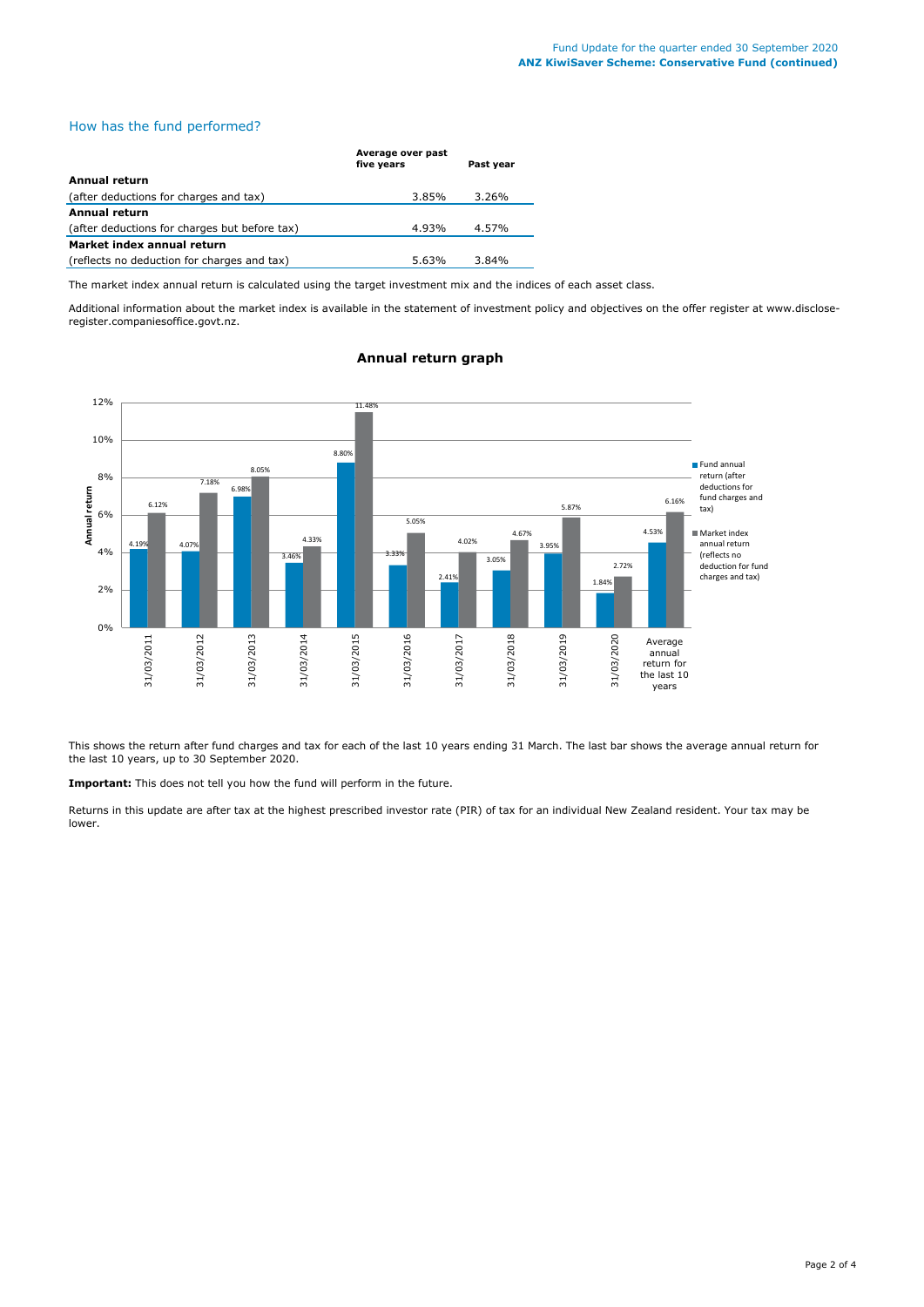# How has the fund performed?

|                                               | Average over past<br>five years | Past year |
|-----------------------------------------------|---------------------------------|-----------|
| <b>Annual return</b>                          |                                 |           |
| (after deductions for charges and tax)        | 3.85%                           | 3.26%     |
| <b>Annual return</b>                          |                                 |           |
| (after deductions for charges but before tax) | 4.93%                           | 4.57%     |
| Market index annual return                    |                                 |           |
| (reflects no deduction for charges and tax)   | 5.63%                           | 3.84%     |

The market index annual return is calculated using the target investment mix and the indices of each asset class.

Additional information about the market index is available in the statement of investment policy and objectives on the offer register at www.discloseregister.companiesoffice.govt.nz.



### **Annual return graph**

This shows the return after fund charges and tax for each of the last 10 years ending 31 March. The last bar shows the average annual return for the last 10 years, up to 30 September 2020.

**Important:** This does not tell you how the fund will perform in the future.

Returns in this update are after tax at the highest prescribed investor rate (PIR) of tax for an individual New Zealand resident. Your tax may be lower.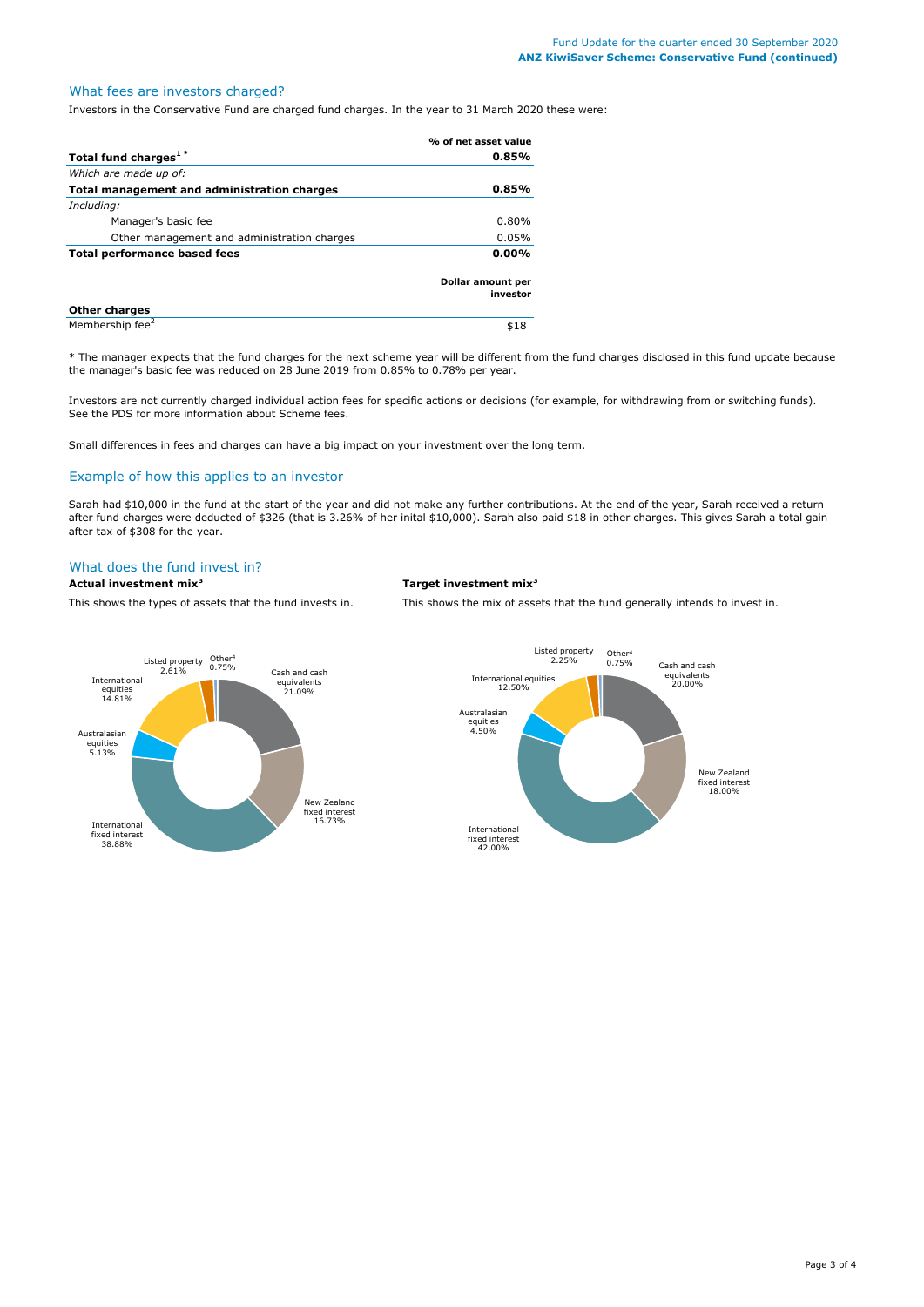# What fees are investors charged?

Investors in the Conservative Fund are charged fund charges. In the year to 31 March 2020 these were:

|                                             | % of net asset value          |
|---------------------------------------------|-------------------------------|
| Total fund charges <sup>1*</sup>            | 0.85%                         |
| Which are made up of:                       |                               |
| Total management and administration charges | 0.85%                         |
| Including:                                  |                               |
| Manager's basic fee                         | $0.80\%$                      |
| Other management and administration charges | 0.05%                         |
| Total performance based fees                | $0.00\%$                      |
|                                             | Dollar amount per<br>investor |
| <b>Other charges</b>                        |                               |
| Membership fee <sup>2</sup>                 | \$18                          |

\* The manager expects that the fund charges for the next scheme year will be different from the fund charges disclosed in this fund update because the manager's basic fee was reduced on 28 June 2019 from 0.85% to 0.78% per year.

Investors are not currently charged individual action fees for specific actions or decisions (for example, for withdrawing from or switching funds). See the PDS for more information about Scheme fees.

Small differences in fees and charges can have a big impact on your investment over the long term.

#### Example of how this applies to an investor

Sarah had \$10,000 in the fund at the start of the year and did not make any further contributions. At the end of the year, Sarah received a return after fund charges were deducted of \$326 (that is 3.26% of her inital \$10,000). Sarah also paid \$18 in other charges. This gives Sarah a total gain after tax of \$308 for the year.

# What does the fund invest in?

#### **Actual investment mix<sup>3</sup> Target investment mix<sup>3</sup>**

This shows the types of assets that the fund invests in. This shows the mix of assets that the fund generally intends to invest in.